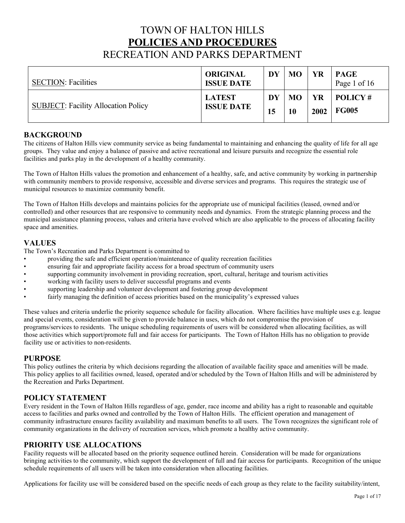# TOWN OF HALTON HILLS **POLICIES AND PROCEDURES**  RECREATION AND PARKS DEPARTMENT

| <b>SECTION: Facilities</b>                 | <b>ORIGINAL</b><br><b>ISSUE DATE</b> | DY | <b>MO</b> | YR   | <b>PAGE</b><br>Page 1 of 16 |
|--------------------------------------------|--------------------------------------|----|-----------|------|-----------------------------|
| <b>SUBJECT: Facility Allocation Policy</b> | <b>LATEST</b>                        | DY | <b>MO</b> | YR   | $\mid$ POLICY #             |
|                                            | <b>ISSUE DATE</b>                    | 15 | 10        | 2002 | <b>FG005</b>                |

# **BACKGROUND**

The citizens of Halton Hills view community service as being fundamental to maintaining and enhancing the quality of life for all age groups. They value and enjoy a balance of passive and active recreational and leisure pursuits and recognize the essential role facilities and parks play in the development of a healthy community.

The Town of Halton Hills values the promotion and enhancement of a healthy, safe, and active community by working in partnership with community members to provide responsive, accessible and diverse services and programs. This requires the strategic use of municipal resources to maximize community benefit.

The Town of Halton Hills develops and maintains policies for the appropriate use of municipal facilities (leased, owned and/or controlled) and other resources that are responsive to community needs and dynamics. From the strategic planning process and the municipal assistance planning process, values and criteria have evolved which are also applicable to the process of allocating facility space and amenities.

# **VALUES**

The Town's Recreation and Parks Department is committed to

- providing the safe and efficient operation/maintenance of quality recreation facilities
- ensuring fair and appropriate facility access for a broad spectrum of community users
- supporting community involvement in providing recreation, sport, cultural, heritage and tourism activities
- working with facility users to deliver successful programs and events
- supporting leadership and volunteer development and fostering group development
- fairly managing the definition of access priorities based on the municipality's expressed values

 and special events, consideration will be given to provide balance in uses, which do not compromise the provision of programs/services to residents. The unique scheduling requirements of users will be considered when allocating facilities, as will These values and criteria underlie the priority sequence schedule for facility allocation. Where facilities have multiple uses e.g. league those activities which support/promote full and fair access for participants. The Town of Halton Hills has no obligation to provide facility use or activities to non-residents.

# **PURPOSE**

This policy outlines the criteria by which decisions regarding the allocation of available facility space and amenities will be made. This policy applies to all facilities owned, leased, operated and/or scheduled by the Town of Halton Hills and will be administered by the Recreation and Parks Department.

# **POLICY STATEMENT**

Every resident in the Town of Halton Hills regardless of age, gender, race income and ability has a right to reasonable and equitable access to facilities and parks owned and controlled by the Town of Halton Hills. The efficient operation and management of community infrastructure ensures facility availability and maximum benefits to all users. The Town recognizes the significant role of community organizations in the delivery of recreation services, which promote a healthy active community.

# **PRIORITY USE ALLOCATIONS**

Facility requests will be allocated based on the priority sequence outlined herein. Consideration will be made for organizations bringing activities to the community, which support the development of full and fair access for participants. Recognition of the unique schedule requirements of all users will be taken into consideration when allocating facilities.

Applications for facility use will be considered based on the specific needs of each group as they relate to the facility suitability/intent,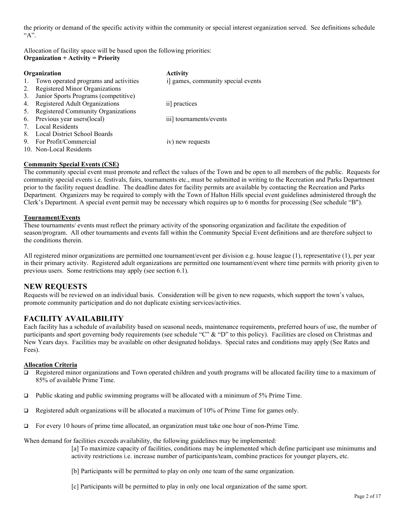the priority or demand of the specific activity within the community or special interest organization served. See definitions schedule "A".

Allocation of facility space will be based upon the following priorities: **Organization + Activity = Priority** 

|    | Organization                             | <b>Activity</b>                    |
|----|------------------------------------------|------------------------------------|
|    | 1. Town operated programs and activities | i] games, community special events |
| 2. | <b>Registered Minor Organizations</b>    |                                    |
| 3. | Junior Sports Programs (competitive)     |                                    |
| 4. | Registered Adult Organizations           | ii] practices                      |
| 5. | Registered Community Organizations       |                                    |
|    | 6. Previous year users (local)           | iii] tournaments/events            |
|    | Local Residents                          |                                    |
| 8. | Local District School Boards             |                                    |
| 9. | For Profit/Commercial                    | iv) new requests                   |
|    | 10. Non-Local Residents                  |                                    |

### **Community Special Events (CSE)**

 The community special event must promote and reflect the values of the Town and be open to all members of the public. Requests for prior to the facility request deadline. The deadline dates for facility permits are available by contacting the Recreation and Parks community special events i.e. festivals, fairs, tournaments etc., must be submitted in writing to the Recreation and Parks Department Department. Organizers may be required to comply with the Town of Halton Hills special event guidelines administered through the Clerk's Department. A special event permit may be necessary which requires up to 6 months for processing (See schedule "B").

#### **Tournament/Events**

These tournaments/ events must reflect the primary activity of the sponsoring organization and facilitate the expedition of season/program. All other tournaments and events fall within the Community Special Event definitions and are therefore subject to the conditions therein.

All registered minor organizations are permitted one tournament/event per division e.g. house league (1), representative (1), per year in their primary activity. Registered adult organizations are permitted one tournament/event where time permits with priority given to previous users. Some restrictions may apply (see section 6.1).

# **NEW REQUESTS**

Requests will be reviewed on an individual basis. Consideration will be given to new requests, which support the town's values, promote community participation and do not duplicate existing services/activities.

# **FACILITY AVAILABILITY**

Each facility has a schedule of availability based on seasonal needs, maintenance requirements, preferred hours of use, the number of participants and sport governing body requirements (see schedule "C" & "D" to this policy). Facilities are closed on Christmas and New Years days. Facilities may be available on other designated holidays. Special rates and conditions may apply (See Rates and Fees).

### **Allocation Criteria**

- Registered minor organizations and Town operated children and youth programs will be allocated facility time to a maximum of 85% of available Prime Time.
- $\Box$  Public skating and public swimming programs will be allocated with a minimum of 5% Prime Time.
- Registered adult organizations will be allocated a maximum of 10% of Prime Time for games only.
- For every 10 hours of prime time allocated, an organization must take one hour of non-Prime Time.

When demand for facilities exceeds availability, the following guidelines may be implemented:

[a] To maximize capacity of facilities, conditions may be implemented which define participant use minimums and activity restrictions i.e. increase number of participants/team, combine practices for younger players, etc.

[b] Participants will be permitted to play on only one team of the same organization.

[c] Participants will be permitted to play in only one local organization of the same sport.<br>Page 2 of 17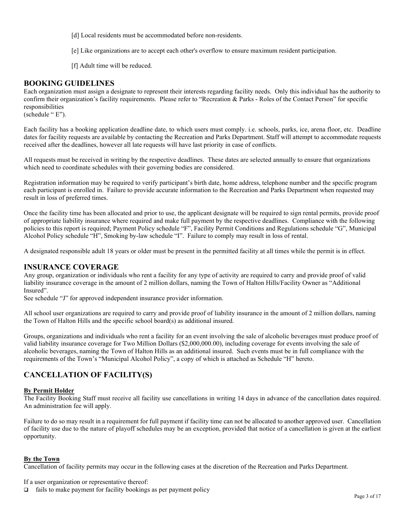[d] Local residents must be accommodated before non-residents.

[e] Like organizations are to accept each other's overflow to ensure maximum resident participation.

[f] Adult time will be reduced.

# **BOOKING GUIDELINES**

Each organization must assign a designate to represent their interests regarding facility needs. Only this individual has the authority to confirm their organization's facility requirements. Please refer to "Recreation & Parks - Roles of the Contact Person" for specific responsibilities

(schedule " E").

Each facility has a booking application deadline date, to which users must comply. i.e. schools, parks, ice, arena floor, etc. Deadline dates for facility requests are available by contacting the Recreation and Parks Department. Staff will attempt to accommodate requests received after the deadlines, however all late requests will have last priority in case of conflicts.

All requests must be received in writing by the respective deadlines. These dates are selected annually to ensure that organizations which need to coordinate schedules with their governing bodies are considered.

 Registration information may be required to verify participant's birth date, home address, telephone number and the specific program each participant is enrolled in. Failure to provide accurate information to the Recreation and Parks Department when requested may result in loss of preferred times.

Once the facility time has been allocated and prior to use, the applicant designate will be required to sign rental permits, provide proof of appropriate liability insurance where required and make full payment by the respective deadlines. Compliance with the following policies to this report is required; Payment Policy schedule "F", Facility Permit Conditions and Regulations schedule "G", Municipal Alcohol Policy schedule "H", Smoking by-law schedule "I". Failure to comply may result in loss of rental.

A designated responsible adult 18 years or older must be present in the permitted facility at all times while the permit is in effect.

# **INSURANCE COVERAGE**

 liability insurance coverage in the amount of 2 million dollars, naming the Town of Halton Hills/Facility Owner as "Additional Any group, organization or individuals who rent a facility for any type of activity are required to carry and provide proof of valid Insured".

See schedule "J" for approved independent insurance provider information.

All school user organizations are required to carry and provide proof of liability insurance in the amount of 2 million dollars, naming the Town of Halton Hills and the specific school board(s) as additional insured.

 valid liability insurance coverage for Two Million Dollars ([\\$2,000,000.00\)](https://2,000,000.00), including coverage for events involving the sale of Groups, organizations and individuals who rent a facility for an event involving the sale of alcoholic beverages must produce proof of alcoholic beverages, naming the Town of Halton Hills as an additional insured. Such events must be in full compliance with the requirements of the Town's "Municipal Alcohol Policy", a copy of which is attached as Schedule "H" hereto.

# **CANCELLATION OF FACILITY(S)**

### **By Permit Holder**

 The Facility Booking Staff must receive all facility use cancellations in writing 14 days in advance of the cancellation dates required. An administration fee will apply.

 Failure to do so may result in a requirement for full payment if facility time can not be allocated to another approved user. Cancellation of facility use due to the nature of playoff schedules may be an exception, provided that notice of a cancellation is given at the earliest opportunity.

### **By the Town**

Cancellation of facility permits may occur in the following cases at the discretion of the Recreation and Parks Department.

If a user organization or representative thereof:

 $\Box$  fails to make payment for facility bookings as per payment policy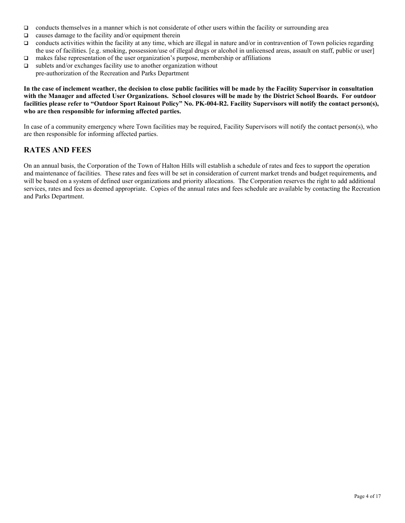- $\Box$  conducts themselves in a manner which is not considerate of other users within the facility or surrounding area
- $\Box$  causes damage to the facility and/or equipment therein
- $\Box$  conducts activities within the facility at any time, which are illegal in nature and/or in contravention of Town policies regarding the use of facilities. [e.g. smoking, possession/use of illegal drugs or alcohol in unlicensed areas, assault on staff, public or user]
- makes false representation of the user organization's purpose, membership or affiliations
- $\square$  sublets and/or exchanges facility use to another organization without pre-authorization of the Recreation and Parks Department

**In the case of inclement weather, the decision to close public facilities will be made by the Facility Supervisor in consultation with the Manager and affected User Organizations. School closures will be made by the District School Boards. For outdoor facilities please refer to "Outdoor Sport Rainout Policy" No. PK-004-R2. Facility Supervisors will notify the contact person(s), who are then responsible for informing affected parties.** 

In case of a community emergency where Town facilities may be required, Facility Supervisors will notify the contact person(s), who are then responsible for informing affected parties.

# **RATES AND FEES**

On an annual basis, the Corporation of the Town of Halton Hills will establish a schedule of rates and fees to support the operation and maintenance of facilities. These rates and fees will be set in consideration of current market trends and budget requirements*,* and will be based on a system of defined user organizations and priority allocations. The Corporation reserves the right to add additional services, rates and fees as deemed appropriate. Copies of the annual rates and fees schedule are available by contacting the Recreation and Parks Department.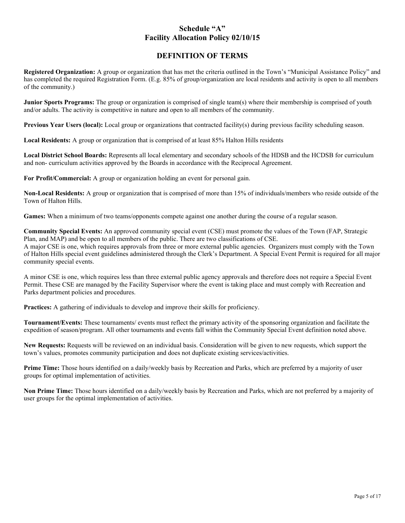# **Schedule "A" Facility Allocation Policy 02/10/15**

# **DEFINITION OF TERMS**

 **Registered Organization:** A group or organization that has met the criteria outlined in the Town's "Municipal Assistance Policy" and has completed the required Registration Form. (E.g. 85% of group/organization are local residents and activity is open to all members of the community.)

 **Junior Sports Programs:** The group or organization is comprised of single team(s) where their membership is comprised of youth and/or adults. The activity is competitive in nature and open to all members of the community.

**Previous Year Users (local):** Local group or organizations that contracted facility(s) during previous facility scheduling season.

**Local Residents:** A group or organization that is comprised of at least 85% Halton Hills residents

**Local District School Boards:** Represents all local elementary and secondary schools of the HDSB and the HCDSB for curriculum and non- curriculum activities approved by the Boards in accordance with the Reciprocal Agreement.

**For Profit/Commercial:** A group or organization holding an event for personal gain.

**Non-Local Residents:** A group or organization that is comprised of more than 15% of individuals/members who reside outside of the Town of Halton Hills.

**Games:** When a minimum of two teams/opponents compete against one another during the course of a regular season.

**Community Special Events:** An approved community special event (CSE) must promote the values of the Town (FAP, Strategic Plan, and MAP) and be open to all members of the public. There are two classifications of CSE. A major CSE is one, which requires approvals from three or more external public agencies. Organizers must comply with the Town of Halton Hills special event guidelines administered through the Clerk's Department. A Special Event Permit is required for all major community special events.

A minor CSE is one, which requires less than three external public agency approvals and therefore does not require a Special Event Permit. These CSE are managed by the Facility Supervisor where the event is taking place and must comply with Recreation and Parks department policies and procedures.

**Practices:** A gathering of individuals to develop and improve their skills for proficiency.

**Tournament/Events:** These tournaments/ events must reflect the primary activity of the sponsoring organization and facilitate the expedition of season/program. All other tournaments and events fall within the Community Special Event definition noted above.

**New Requests:** Requests will be reviewed on an individual basis. Consideration will be given to new requests, which support the town's values, promotes community participation and does not duplicate existing services/activities.

 **Prime Time:** Those hours identified on a daily/weekly basis by Recreation and Parks, which are preferred by a majority of user groups for optimal implementation of activities.

 **Non Prime Time:** Those hours identified on a daily/weekly basis by Recreation and Parks, which are not preferred by a majority of user groups for the optimal implementation of activities.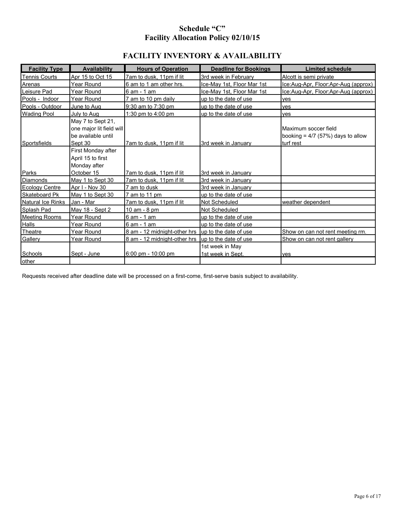# **Schedule "C" Facility Allocation Policy 02/10/15**

# **FACILITY INVENTORY & AVAILABILITY**

| <b>Limited schedule</b>                                     |
|-------------------------------------------------------------|
| Alcott is semi private                                      |
| Ice:Aug-Apr, Floor:Apr-Aug (approx)                         |
| Ice:Aug-Apr, Floor:Apr-Aug (approx)                         |
|                                                             |
|                                                             |
|                                                             |
| Maximum soccer field<br>booking = $4/7$ (57%) days to allow |
|                                                             |
|                                                             |
|                                                             |
|                                                             |
|                                                             |
|                                                             |
|                                                             |
|                                                             |
| Show on can not rent meeting rm.                            |
| Show on can not rent gallery                                |
|                                                             |
| weather dependent                                           |

Requests received after deadline date will be processed on a first-come, first-serve basis subject to availability.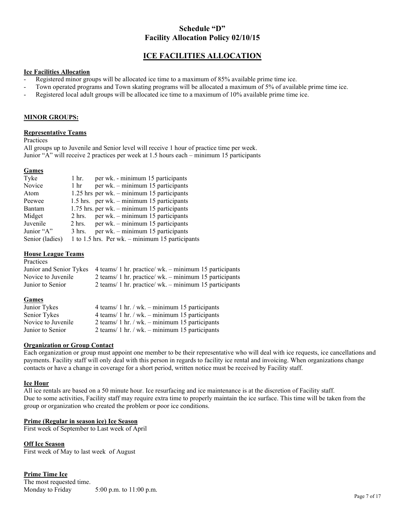# **Schedule "D" Facility Allocation Policy 02/10/15**

# **ICE FACILITIES ALLOCATION**

### **Ice Facilities Allocation**

- Registered minor groups will be allocated ice time to a maximum of 85% available prime time ice.
- Town operated programs and Town skating programs will be allocated a maximum of 5% of available prime time ice.
- Registered local adult groups will be allocated ice time to a maximum of 10% available prime time ice.

#### **MINOR GROUPS:**

#### **Representative Teams**

Practices

 Junior "A" will receive 2 practices per week at 1.5 hours each – minimum 15 participants All groups up to Juvenile and Senior level will receive 1 hour of practice time per week.

### **Games**

| Tyke            | 1 hr.            | per wk. - minimum 15 participants               |
|-----------------|------------------|-------------------------------------------------|
| Novice          | $1 \text{ hr}$   | per wk. – minimum 15 participants               |
| Atom            |                  | 1.25 hrs per wk. – minimum 15 participants      |
| Peewee          |                  | 1.5 hrs. per wk. $-$ minimum 15 participants    |
| Bantam          |                  | $1.75$ hrs. per wk. – minimum 15 participants   |
| Midget          | $2 \text{ hrs.}$ | per wk. – minimum 15 participants               |
| Juvenile        | $2 \text{ hrs.}$ | per wk. - minimum 15 participants               |
| Junior "A"      | $3 \text{ hrs.}$ | per wk. – minimum 15 participants               |
| Senior (ladies) |                  | 1 to 1.5 hrs. Per wk. – minimum 15 participants |

#### **House League Teams**

| Practices          |                                                                              |
|--------------------|------------------------------------------------------------------------------|
|                    | Junior and Senior Tykes 4 teams/1 hr. practice/wk. – minimum 15 participants |
| Novice to Juvenile | 2 teams/ 1 hr. practice/ wk. $-$ minimum 15 participants                     |
| Junior to Senior   | 2 teams/ 1 hr. practice/ wk. $-$ minimum 15 participants                     |

#### **Games**

| Junior Tykes       | 4 teams/ 1 hr. / wk. $-$ minimum 15 participants |
|--------------------|--------------------------------------------------|
| Senior Tykes       | 4 teams/ 1 hr. / wk. - minimum 15 participants   |
| Novice to Juvenile | 2 teams/ 1 hr. / wk. $-$ minimum 15 participants |
| Junior to Senior   | 2 teams/ 1 hr. / wk. $-$ minimum 15 participants |

### **Organization or Group Contact**

Each organization or group must appoint one member to be their representative who will deal with ice requests, ice cancellations and payments. Facility staff will only deal with this person in regards to facility ice rental and invoicing. When organizations change contacts or have a change in coverage for a short period, written notice must be received by Facility staff.

#### **Ice Hour**

All ice rentals are based on a 50 minute hour. Ice resurfacing and ice maintenance is at the discretion of Facility staff. Due to some activities, Facility staff may require extra time to properly maintain the ice surface. This time will be taken from the group or organization who created the problem or poor ice conditions.

### **Prime (Regular in season ice) Ice Season**

First week of September to Last week of April

#### **Off Ice Season**

First week of May to last week of August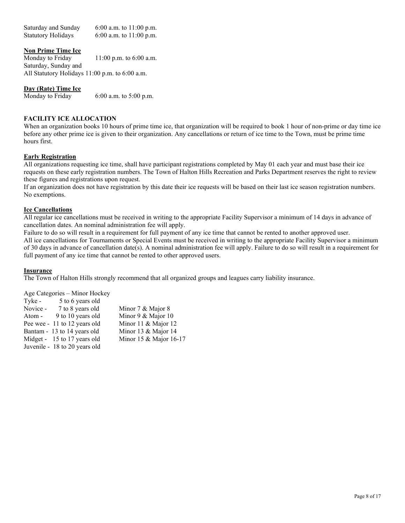Saturday and Sunday 6:00 a.m. to 11:00 p.m. Statutory Holidays 6:00 a.m. to 11:00 p.m.

### **Non Prime Time Ice**

Saturday, Sunday and Monday to Friday 11:00 p.m. to 6:00 a.m. All Statutory Holidays 11:00 p.m. to 6:00 a.m.

#### **Day (Rate) Time Ice**

Monday to Friday 6:00 a.m. to  $5:00$  p.m.

### **FACILITY ICE ALLOCATION**

 hours first. When an organization books 10 hours of prime time ice, that organization will be required to book 1 hour of non-prime or day time ice before any other prime ice is given to their organization. Any cancellations or return of ice time to the Town, must be prime time

#### **Early Registration**

 requests on these early registration numbers. The Town of Halton Hills Recreation and Parks Department reserves the right to review All organizations requesting ice time, shall have participant registrations completed by May 01 each year and must base their ice these figures and registrations upon request.

If an organization does not have registration by this date their ice requests will be based on their last ice season registration numbers. No exemptions.

#### **Ice Cancellations**

All regular ice cancellations must be received in writing to the appropriate Facility Supervisor a minimum of 14 days in advance of cancellation dates. An nominal administration fee will apply.

 All ice cancellations for Tournaments or Special Events must be received in writing to the appropriate Facility Supervisor a minimum Failure to do so will result in a requirement for full payment of any ice time that cannot be rented to another approved user.

of 30 days in advance of cancellation date(s). A nominal administration fee will apply. Failure to do so will result in a requirement for full payment of any ice time that cannot be rented to other approved users.

### **Insurance**

The Town of Halton Hills strongly recommend that all organized groups and leagues carry liability insurance.

Age Categories – Minor Hockey

| Tyke -   | 5 to 6 years old              |                        |
|----------|-------------------------------|------------------------|
| Novice - | 7 to 8 years old              | Minor 7 & Major 8      |
| Atom -   | 9 to 10 years old             | Minor 9 & Major 10     |
|          | Pee wee - 11 to 12 years old  | Minor 11 & Major 12    |
|          | Bantam - 13 to 14 years old   | Minor 13 & Major 14    |
|          | Midget - 15 to 17 years old   | Minor 15 & Major 16-17 |
|          | Juvenile - 18 to 20 years old |                        |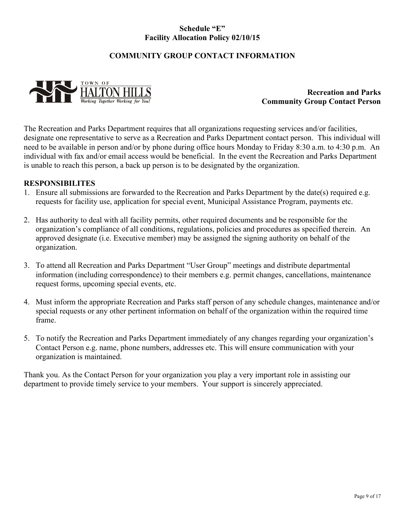# **Schedule "E" Facility Allocation Policy 02/10/15**

# **COMMUNITY GROUP CONTACT INFORMATION**



**Recreation and Parks Community Group Contact Person** 

 individual with fax and/or email access would be beneficial. In the event the Recreation and Parks Department The Recreation and Parks Department requires that all organizations requesting services and/or facilities, designate one representative to serve as a Recreation and Parks Department contact person. This individual will need to be available in person and/or by phone during office hours Monday to Friday 8:30 a.m. to 4:30 p.m. An is unable to reach this person, a back up person is to be designated by the organization.

# **RESPONSIBILITES**

- 1. Ensure all submissions are forwarded to the Recreation and Parks Department by the date(s) required e.g. requests for facility use, application for special event, Municipal Assistance Program, payments etc.
- 2. Has authority to deal with all facility permits, other required documents and be responsible for the organization's compliance of all conditions, regulations, policies and procedures as specified therein. An approved designate (i.e. Executive member) may be assigned the signing authority on behalf of the organization.
- 3. To attend all Recreation and Parks Department "User Group" meetings and distribute departmental information (including correspondence) to their members e.g. permit changes, cancellations, maintenance request forms, upcoming special events, etc.
- 4. Must inform the appropriate Recreation and Parks staff person of any schedule changes, maintenance and/or special requests or any other pertinent information on behalf of the organization within the required time frame.
- 5. To notify the Recreation and Parks Department immediately of any changes regarding your organization's Contact Person e.g. name, phone numbers, addresses etc. This will ensure communication with your organization is maintained.

Thank you. As the Contact Person for your organization you play a very important role in assisting our department to provide timely service to your members. Your support is sincerely appreciated.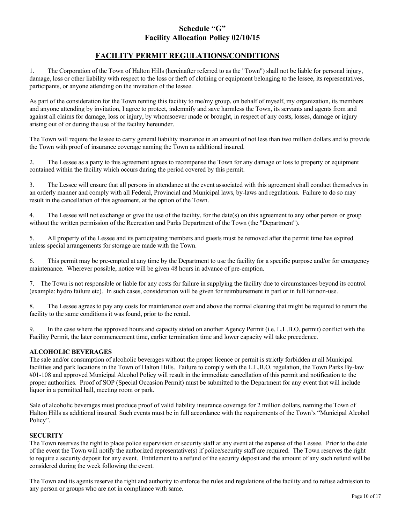# **Schedule "G" Facility Allocation Policy 02/10/15**

# **FACILITY PERMIT REGULATIONS/CONDITIONS**

 1. The Corporation of the Town of Halton Hills (hereinafter referred to as the "Town") shall not be liable for personal injury, damage, loss or other liability with respect to the loss or theft of clothing or equipment belonging to the lessee, its representatives, participants, or anyone attending on the invitation of the lessee.

 and anyone attending by invitation, I agree to protect, indemnify and save harmless the Town, its servants and agents from and arising out of or during the use of the facility hereunder. As part of the consideration for the Town renting this facility to me/my group, on behalf of myself, my organization, its members against all claims for damage, loss or injury, by whomsoever made or brought, in respect of any costs, losses, damage or injury

The Town will require the lessee to carry general liability insurance in an amount of not less than two million dollars and to provide the Town with proof of insurance coverage naming the Town as additional insured.

2. The Lessee as a party to this agreement agrees to recompense the Town for any damage or loss to property or equipment contained within the facility which occurs during the period covered by this permit.

 3. The Lessee will ensure that all persons in attendance at the event associated with this agreement shall conduct themselves in an orderly manner and comply with all Federal, Provincial and Municipal laws, by-laws and regulations. Failure to do so may result in the cancellation of this agreement, at the option of the Town.

4. The Lessee will not exchange or give the use of the facility, for the date(s) on this agreement to any other person or group without the written permission of the Recreation and Parks Department of the Town (the "Department").

5. All property of the Lessee and its participating members and guests must be removed after the permit time has expired unless special arrangements for storage are made with the Town.

 maintenance. Wherever possible, notice will be given 48 hours in advance of pre-emption. 6. This permit may be pre-empted at any time by the Department to use the facility for a specific purpose and/or for emergency

7. The Town is not responsible or liable for any costs for failure in supplying the facility due to circumstances beyond its control (example: hydro failure etc). In such cases, consideration will be given for reimbursement in part or in full for non-use.

8. The Lessee agrees to pay any costs for maintenance over and above the normal cleaning that might be required to return the facility to the same conditions it was found, prior to the rental.

 Facility Permit, the later commencement time, earlier termination time and lower capacity will take precedence. 9. In the case where the approved hours and capacity stated on another Agency Permit (i.e. L.L.B.O. permit) conflict with the

# **ALCOHOLIC BEVERAGES**

 proper authorities. Proof of SOP (Special Occasion Permit) must be submitted to the Department for any event that will include The sale and/or consumption of alcoholic beverages without the proper licence or permit is strictly forbidden at all Municipal facilities and park locations in the Town of Halton Hills. Failure to comply with the L.L.B.O. regulation, the Town Parks By-law #01-108 and approved Municipal Alcohol Policy will result in the immediate cancellation of this permit and notification to the liquor in a permitted hall, meeting room or park.

 Halton Hills as additional insured. Such events must be in full accordance with the requirements of the Town's "Municipal Alcohol Sale of alcoholic beverages must produce proof of valid liability insurance coverage for 2 million dollars, naming the Town of Policy".

### **SECURITY**

 The Town reserves the right to place police supervision or security staff at any event at the expense of the Lessee. Prior to the date of the event the Town will notify the authorized representative(s) if police/security staff are required. The Town reserves the right to require a security deposit for any event. Entitlement to a refund of the security deposit and the amount of any such refund will be considered during the week following the event.

The Town and its agents reserve the right and authority to enforce the rules and regulations of the facility and to refuse admission to any person or groups who are not in compliance with same.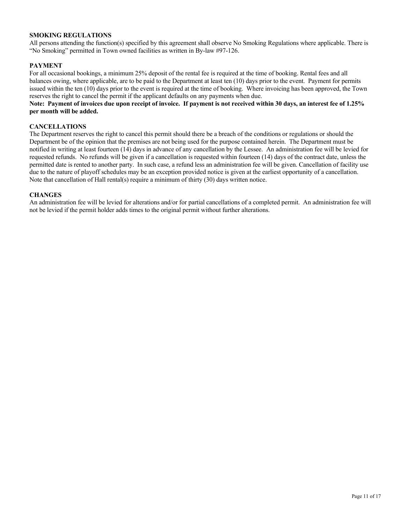### **SMOKING REGULATIONS**

 All persons attending the function(s) specified by this agreement shall observe No Smoking Regulations where applicable. There is "No Smoking" permitted in Town owned facilities as written in By-law #97-126.

### **PAYMENT**

 For all occasional bookings, a minimum 25% deposit of the rental fee is required at the time of booking. Rental fees and all balances owing, where applicable, are to be paid to the Department at least ten (10) days prior to the event. Payment for permits issued within the ten (10) days prior to the event is required at the time of booking. Where invoicing has been approved, the Town reserves the right to cancel the permit if the applicant defaults on any payments when due.

### **Note: Payment of invoices due upon receipt of invoice. If payment is not received within 30 days, an interest fee of 1.25% per month will be added.**

#### **CANCELLATIONS**

 The Department reserves the right to cancel this permit should there be a breach of the conditions or regulations or should the Department be of the opinion that the premises are not being used for the purpose contained herein. The Department must be notified in writing at least fourteen (14) days in advance of any cancellation by the Lessee. An administration fee will be levied for requested refunds. No refunds will be given if a cancellation is requested within fourteen (14) days of the contract date, unless the permitted date is rented to another party. In such case, a refund less an administration fee will be given. Cancellation of facility use due to the nature of playoff schedules may be an exception provided notice is given at the earliest opportunity of a cancellation. Note that cancellation of Hall rental(s) require a minimum of thirty  $(30)$  days written notice.

#### **CHANGES**

An administration fee will be levied for alterations and/or for partial cancellations of a completed permit. An administration fee will not be levied if the permit holder adds times to the original permit without further alterations.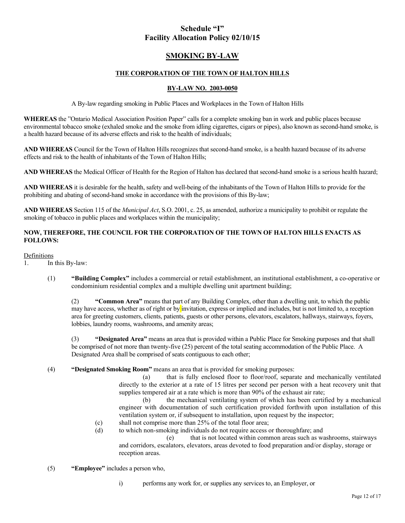# **Schedule "I" Facility Allocation Policy 02/10/15**

# **SMOKING BY-LAW**

### **THE CORPORATION OF THE TOWN OF HALTON HILLS**

### **BY-LAW NO. 2003-0050**

A By-law regarding smoking in Public Places and Workplaces in the Town of Halton Hills

 **WHEREAS** the "Ontario Medical Association Position Paper" calls for a complete smoking ban in work and public places because environmental tobacco smoke (exhaled smoke and the smoke from idling cigarettes, cigars or pipes), also known as second-hand smoke, is a health hazard because of its adverse effects and risk to the health of individuals;

 **AND WHEREAS** Council for the Town of Halton Hills recognizes that second-hand smoke, is a health hazard because of its adverse effects and risk to the health of inhabitants of the Town of Halton Hills;

**AND WHEREAS** the Medical Officer of Health for the Region of Halton has declared that second-hand smoke is a serious health hazard;

 **AND WHEREAS** it is desirable for the health, safety and well-being of the inhabitants of the Town of Halton Hills to provide for the prohibiting and abating of second-hand smoke in accordance with the provisions of this By-law;

 **AND WHEREAS** Section 115 of the *Municipal Act*, S.O. 2001, c. 25, as amended, authorize a municipality to prohibit or regulate the smoking of tobacco in public places and workplaces within the municipality;

### **NOW, THEREFORE, THE COUNCIL FOR THE CORPORATION OF THE TOWN OF HALTON HILLS ENACTS AS FOLLOWS:**

#### Definitions

- 1. In this By-law:
	- (1) **"Building Complex"** includes a commercial or retail establishment, an institutional establishment, a co-operative or condominium residential complex and a multiple dwelling unit apartment building;

 (2) **"Common Area"** means that part of any Building Complex, other than a dwelling unit, to which the public may have access, whether as of right or by invitation, express or implied and includes, but is not limited to, a reception area for greeting customers, clients, patients, guests or other persons, elevators, escalators, hallways, stairways, foyers, lobbies, laundry rooms, washrooms, and amenity areas;

 (3) **"Designated Area"** means an area that is provided within a Public Place for Smoking purposes and that shall be comprised of not more than twenty-five (25) percent of the total seating accommodation of the Public Place. A Designated Area shall be comprised of seats contiguous to each other;

(4) **"Designated Smoking Room"** means an area that is provided for smoking purposes:

 directly to the exterior at a rate of 15 litres per second per person with a heat recovery unit that (a) that is fully enclosed floor to floor/roof, separate and mechanically ventilated supplies tempered air at a rate which is more than 90% of the exhaust air rate;

(b) the mechanical ventilating system of which has been certified by a mechanical engineer with documentation of such certification provided forthwith upon installation of this ventilation system or, if subsequent to installation, upon request by the inspector;

- (c) shall not comprise more than 25% of the total floor area;
- (d) to which non-smoking individuals do not require access or thoroughfare; and

(e) that is not located within common areas such as washrooms, stairways and corridors, escalators, elevators, areas devoted to food preparation and/or display, storage or reception areas.

- (5) **"Employee"** includes a person who,
	- i) performs any work for, or supplies any services to, an Employer, or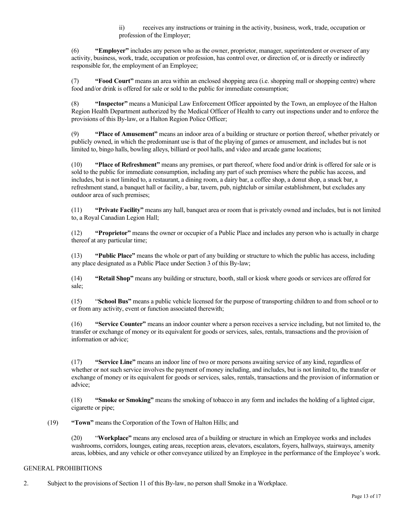ii) receives any instructions or training in the activity, business, work, trade, occupation or profession of the Employer;

 (6) **"Employer"** includes any person who as the owner, proprietor, manager, superintendent or overseer of any activity, business, work, trade, occupation or profession, has control over, or direction of, or is directly or indirectly responsible for, the employment of an Employee;

 (7) **"Food Court"** means an area within an enclosed shopping area (i.e. shopping mall or shopping centre) where food and/or drink is offered for sale or sold to the public for immediate consumption;

 (8) **"Inspector"** means a Municipal Law Enforcement Officer appointed by the Town, an employee of the Halton Region Health Department authorized by the Medical Officer of Health to carry out inspections under and to enforce the provisions of this By-law, or a Halton Region Police Officer;

 (9) **"Place of Amusement"** means an indoor area of a building or structure or portion thereof, whether privately or publicly owned, in which the predominant use is that of the playing of games or amusement, and includes but is not limited to, bingo halls, bowling alleys, billiard or pool halls, and video and arcade game locations;

 (10) **"Place of Refreshment"** means any premises, or part thereof, where food and/or drink is offered for sale or is sold to the public for immediate consumption, including any part of such premises where the public has access, and includes, but is not limited to, a restaurant, a dining room, a dairy bar, a coffee shop, a donut shop, a snack bar, a refreshment stand, a banquet hall or facility, a bar, tavern, pub, nightclub or similar establishment, but excludes any outdoor area of such premises;

 (11) **"Private Facility"** means any hall, banquet area or room that is privately owned and includes, but is not limited to, a Royal Canadian Legion Hall;

 (12) **"Proprietor"** means the owner or occupier of a Public Place and includes any person who is actually in charge thereof at any particular time;

 (13) **"Public Place"** means the whole or part of any building or structure to which the public has access, including any place designated as a Public Place under Section 3 of this By-law;

 (14) **"Retail Shop"** means any building or structure, booth, stall or kiosk where goods or services are offered for sale;

 (15) "**School Bus"** means a public vehicle licensed for the purpose of transporting children to and from school or to or from any activity, event or function associated therewith;

 (16) **"Service Counter"** means an indoor counter where a person receives a service including, but not limited to, the transfer or exchange of money or its equivalent for goods or services, sales, rentals, transactions and the provision of information or advice;

 (17) **"Service Line"** means an indoor line of two or more persons awaiting service of any kind, regardless of whether or not such service involves the payment of money including, and includes, but is not limited to, the transfer or exchange of money or its equivalent for goods or services, sales, rentals, transactions and the provision of information or advice;

 (18) **"Smoke or Smoking"** means the smoking of tobacco in any form and includes the holding of a lighted cigar, cigarette or pipe;

(19) **"Town"** means the Corporation of the Town of Halton Hills; and

 (20) "**Workplace"** means any enclosed area of a building or structure in which an Employee works and includes areas, lobbies, and any vehicle or other conveyance utilized by an Employee in the performance of the Employee's work. washrooms, corridors, lounges, eating areas, reception areas, elevators, escalators, foyers, hallways, stairways, amenity

### GENERAL PROHIBITIONS

2. Subject to the provisions of Section 11 of this By-law, no person shall Smoke in a Workplace.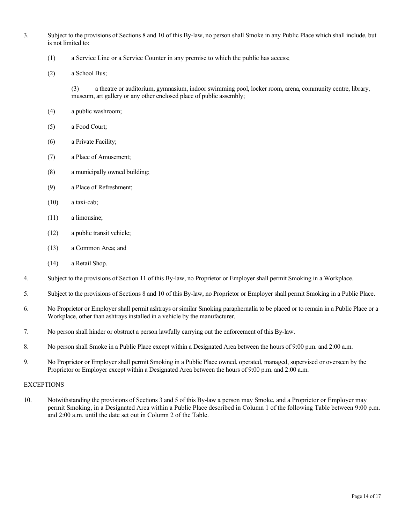- 3. Subject to the provisions of Sections 8 and 10 of this By-law, no person shall Smoke in any Public Place which shall include, but is not limited to:
	- (1) a Service Line or a Service Counter in any premise to which the public has access;
	- (2) a School Bus;

 museum, art gallery or any other enclosed place of public assembly; (3) a theatre or auditorium, gymnasium, indoor swimming pool, locker room, arena, community centre, library,

- (4) a public washroom;
- (5) a Food Court;
- (6) a Private Facility;
- (7) a Place of Amusement;
- (8) a municipally owned building;
- (9) a Place of Refreshment;
- (10) a taxi-cab;
- (11) a limousine;
- (12) a public transit vehicle;
- (13) a Common Area; and
- (14) a Retail Shop.
- 4. Subject to the provisions of Section 11 of this By-law, no Proprietor or Employer shall permit Smoking in a Workplace.
- 5. Subject to the provisions of Sections 8 and 10 of this By-law, no Proprietor or Employer shall permit Smoking in a Public Place.
- 6. No Proprietor or Employer shall permit ashtrays or similar Smoking paraphernalia to be placed or to remain in a Public Place or a Workplace, other than ashtrays installed in a vehicle by the manufacturer.
- 7. No person shall hinder or obstruct a person lawfully carrying out the enforcement of this By-law.
- 8. No person shall Smoke in a Public Place except within a Designated Area between the hours of 9:00 p.m. and 2:00 a.m.
- 9. No Proprietor or Employer shall permit Smoking in a Public Place owned, operated, managed, supervised or overseen by the Proprietor or Employer except within a Designated Area between the hours of 9:00 p.m. and 2:00 a.m.

#### **EXCEPTIONS**

10. Notwithstanding the provisions of Sections 3 and 5 of this By-law a person may Smoke, and a Proprietor or Employer may permit Smoking, in a Designated Area within a Public Place described in Column 1 of the following Table between 9:00 p.m. and 2:00 a.m. until the date set out in Column 2 of the Table.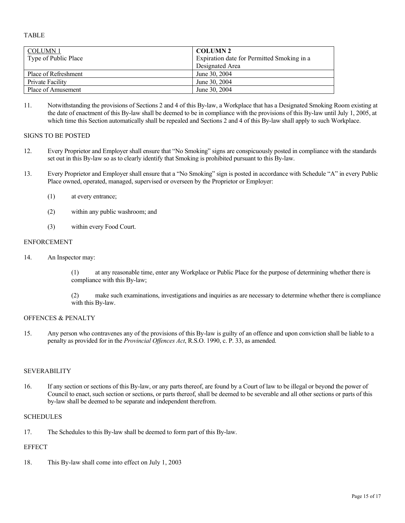TABLE

| <b>COLUMN1</b>       | <b>COLUMN 2</b>                            |
|----------------------|--------------------------------------------|
| Type of Public Place | Expiration date for Permitted Smoking in a |
|                      | Designated Area                            |
| Place of Refreshment | June 30, 2004                              |
| Private Facility     | June 30, 2004                              |
| Place of Amusement   | June 30, 2004                              |

 11. Notwithstanding the provisions of Sections 2 and 4 of this By-law, a Workplace that has a Designated Smoking Room existing at the date of enactment of this By-law shall be deemed to be in compliance with the provisions of this By-law until July 1, 2005, at which time this Section automatically shall be repealed and Sections 2 and 4 of this By-law shall apply to such Workplace.

### SIGNS TO BE POSTED

- 12. Every Proprietor and Employer shall ensure that "No Smoking" signs are conspicuously posted in compliance with the standards set out in this By-law so as to clearly identify that Smoking is prohibited pursuant to this By-law.
- Place owned, operated, managed, supervised or overseen by the Proprietor or Employer: 13. Every Proprietor and Employer shall ensure that a "No Smoking" sign is posted in accordance with Schedule "A" in every Public
	- (1) at every entrance;
	- (2) within any public washroom; and
	- (3) within every Food Court.

#### ENFORCEMENT

14. An Inspector may:

 (1) at any reasonable time, enter any Workplace or Public Place for the purpose of determining whether there is compliance with this By-law;

 (2) make such examinations, investigations and inquiries as are necessary to determine whether there is compliance with this By-law.

### OFFENCES & PENALTY

 15. Any person who contravenes any of the provisions of this By-law is guilty of an offence and upon conviction shall be liable to a penalty as provided for in the *Provincial Offences Act*, R.S.O. 1990, c. P. 33, as amended.

### SEVERABILITY

 16. If any section or sections of this By-law, or any parts thereof, are found by a Court of law to be illegal or beyond the power of Council to enact, such section or sections, or parts thereof, shall be deemed to be severable and all other sections or parts of this by-law shall be deemed to be separate and independent therefrom.

#### SCHEDULES

17. The Schedules to this By-law shall be deemed to form part of this By-law.

### **EFFECT**

18. This By-law shall come into effect on July 1, 2003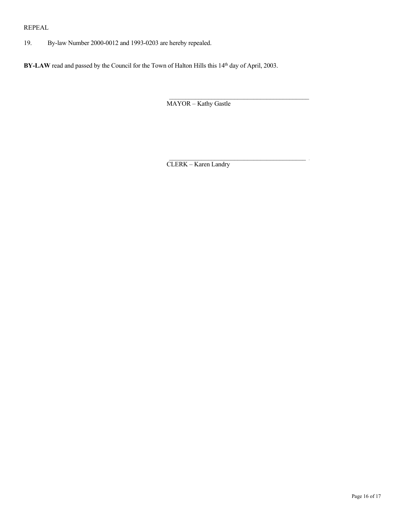19. By-law Number 2000-0012 and 1993-0203 are hereby repealed.

REPEAL<br>
19. By-law Number 2000-0012 and 1993-0203 are hereby repealed.<br>
BY-LAW read and passed by the Council for the Town of Halton Hills this 14<sup>th</sup> day of April, 2003.<br>
MAYOR – Kathy Gastle BY-LAW read and passed by the Council for the Town of Halton Hills this 14<sup>th</sup> day of April, 2003.

MAYOR – Kathy Gastle

CLERK – Karen Landry